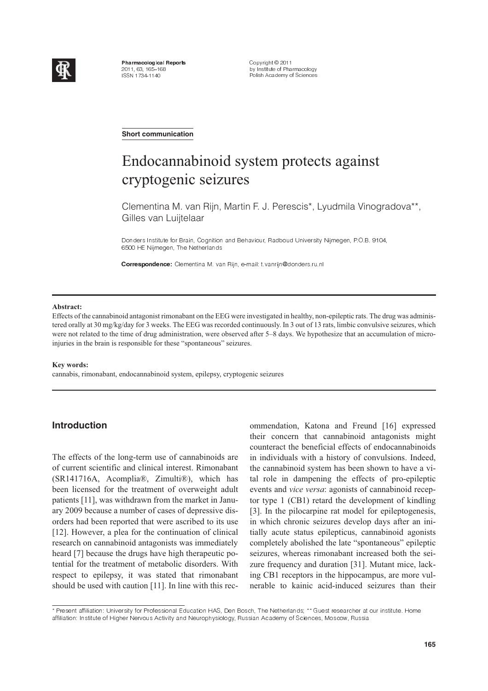

Pharma cological Reports 2011, 63, 165–168 ISSN 1734-1140

Copyright © 2011 by Institute of Pharmacology Polish Academy of Sciences

**Short communication**

# Endocannabinoid system protects against cryptogenic seizures

Clementina M. van Rijn, Martin F. J. Perescis\*, Lyudmila Vinogradova\*\*, Gilles van Luijtelaar

Donders Institute for Brain, Cognition and Behaviour, Radboud University Nijmegen, P.O.B. 9104, 6500 HE Nijmegen, The Netherlands

Correspondence: Clementina M. van Rijn, e-mail: t.vanrijn@donders.ru.nl

#### **Abstract:**

Effects of the cannabinoid antagonist rimonabant on the EEG were investigated in healthy, non-epileptic rats. The drug was administered orally at 30 mg/kg/day for 3 weeks. The EEG was recorded continuously. In 3 out of 13 rats, limbic convulsive seizures, which were not related to the time of drug administration, were observed after 5–8 days. We hypothesize that an accumulation of microinjuries in the brain is responsible for these "spontaneous" seizures.

#### **Key words:**

cannabis, rimonabant, endocannabinoid system, epilepsy, cryptogenic seizures

## **Introduction**

The effects of the long-term use of cannabinoids are of current scientific and clinical interest. Rimonabant (SR141716A, Acomplia®, Zimulti®), which has been licensed for the treatment of overweight adult patients [11], was withdrawn from the market in January 2009 because a number of cases of depressive disorders had been reported that were ascribed to its use [12]. However, a plea for the continuation of clinical research on cannabinoid antagonists was immediately heard [7] because the drugs have high therapeutic potential for the treatment of metabolic disorders. With respect to epilepsy, it was stated that rimonabant should be used with caution [11]. In line with this recommendation, Katona and Freund [16] expressed their concern that cannabinoid antagonists might counteract the beneficial effects of endocannabinoids in individuals with a history of convulsions. Indeed, the cannabinoid system has been shown to have a vital role in dampening the effects of pro-epileptic events and *vice versa*: agonists of cannabinoid receptor type 1 (CB1) retard the development of kindling [3]. In the pilocarpine rat model for epileptogenesis, in which chronic seizures develop days after an initially acute status epilepticus, cannabinoid agonists completely abolished the late "spontaneous" epileptic seizures, whereas rimonabant increased both the seizure frequency and duration [31]. Mutant mice, lacking CB1 receptors in the hippocampus, are more vulnerable to kainic acid-induced seizures than their

<sup>+ -</sup> 
 & 
 -) - -& \$ ,
 - #-. - , % &
-/ <sup>0</sup> 
, 
 - # affiliation: Institute of Higher Nervous Activity and Neurophysiology, Russian Academy of Sciences, Moscow, Russia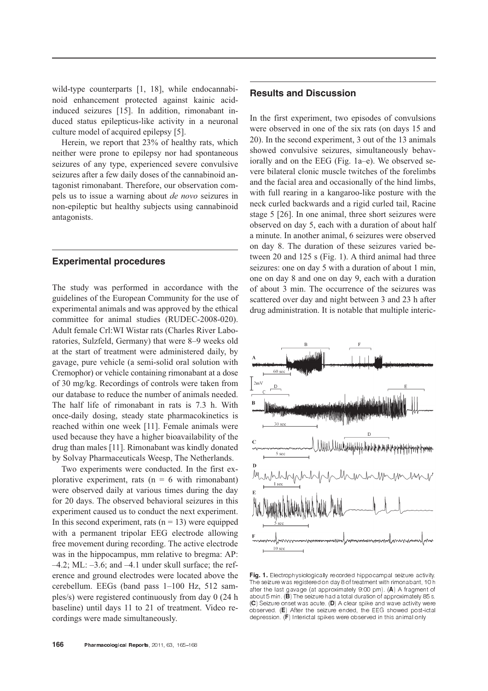wild-type counterparts [1, 18], while endocannabinoid enhancement protected against kainic acidinduced seizures [15]. In addition, rimonabant induced status epilepticus-like activity in a neuronal culture model of acquired epilepsy [5].

Herein, we report that 23% of healthy rats, which neither were prone to epilepsy nor had spontaneous seizures of any type, experienced severe convulsive seizures after a few daily doses of the cannabinoid antagonist rimonabant. Therefore, our observation compels us to issue a warning about *de novo* seizures in non-epileptic but healthy subjects using cannabinoid antagonists.

## **Experimental procedures**

The study was performed in accordance with the guidelines of the European Community for the use of experimental animals and was approved by the ethical committee for animal studies (RUDEC-2008-020). Adult female Crl:WI Wistar rats (Charles River Laboratories, Sulzfeld, Germany) that were 8–9 weeks old at the start of treatment were administered daily, by gavage, pure vehicle (a semi-solid oral solution with Cremophor) or vehicle containing rimonabant at a dose of 30 mg/kg. Recordings of controls were taken from our database to reduce the number of animals needed. The half life of rimonabant in rats is 7.3 h. With once-daily dosing, steady state pharmacokinetics is reached within one week [11]. Female animals were used because they have a higher bioavailability of the drug than males [11]. Rimonabant was kindly donated by Solvay Pharmaceuticals Weesp, The Netherlands.

Two experiments were conducted. In the first explorative experiment, rats  $(n = 6$  with rimonabant) were observed daily at various times during the day for 20 days. The observed behavioral seizures in this experiment caused us to conduct the next experiment. In this second experiment, rats  $(n = 13)$  were equipped with a permanent tripolar EEG electrode allowing free movement during recording. The active electrode was in the hippocampus, mm relative to bregma: AP:  $-4.2$ ; ML:  $-3.6$ ; and  $-4.1$  under skull surface; the reference and ground electrodes were located above the cerebellum. EEGs (band pass 1–100 Hz, 512 samples/s) were registered continuously from day 0 (24 h baseline) until days 11 to 21 of treatment. Video recordings were made simultaneously.

In the first experiment, two episodes of convulsions were observed in one of the six rats (on days 15 and 20). In the second experiment, 3 out of the 13 animals showed convulsive seizures, simultaneously behaviorally and on the EEG (Fig. 1a–e). We observed severe bilateral clonic muscle twitches of the forelimbs and the facial area and occasionally of the hind limbs, with full rearing in a kangaroo-like posture with the neck curled backwards and a rigid curled tail, Racine stage 5 [26]. In one animal, three short seizures were observed on day 5, each with a duration of about half a minute. In another animal, 6 seizures were observed on day 8. The duration of these seizures varied between 20 and 125 s (Fig. 1). A third animal had three seizures: one on day 5 with a duration of about 1 min, one on day 8 and one on day 9, each with a duration of about 3 min. The occurrence of the seizures was scattered over day and night between 3 and 23 h after drug administration. It is notable that multiple interic-



Fig. 1. Electrophysiologically recorded hippocampal seizure activity. The seizure was registered on day 8 of treatment with rimonabant, 10 h after the last gavage (at approximately 9:00 pm). (A) A fragment of about 5 min. (B) The seizure had a total duration of approximately 85 s.  $(\mathsf{C})$  Seizure onset was acute. (D) A clear spike and wave activity were observed (E) After the seizure ended, the EEG showed post-ictal depression. (F) Interictal spikes were observed in this animal only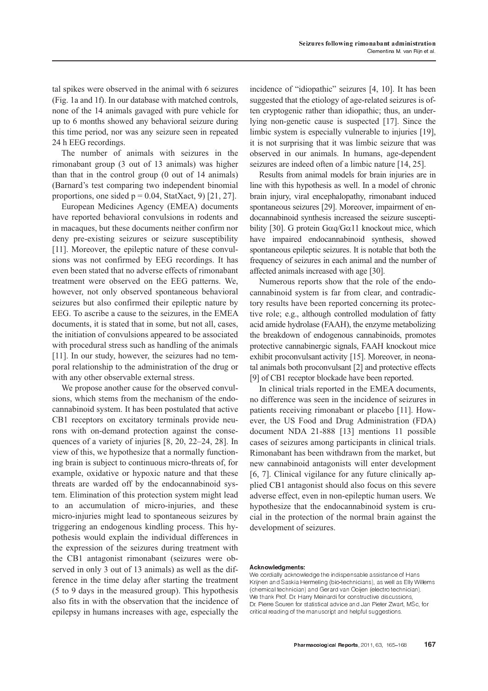tal spikes were observed in the animal with 6 seizures (Fig. 1a and 1f). In our database with matched controls, none of the 14 animals gavaged with pure vehicle for up to 6 months showed any behavioral seizure during this time period, nor was any seizure seen in repeated 24 h EEG recordings.

The number of animals with seizures in the rimonabant group (3 out of 13 animals) was higher than that in the control group (0 out of 14 animals) (Barnard's test comparing two independent binomial proportions, one sided  $p = 0.04$ , StatXact, 9) [21, 27].

European Medicines Agency (EMEA) documents have reported behavioral convulsions in rodents and in macaques, but these documents neither confirm nor deny pre-existing seizures or seizure susceptibility [11]. Moreover, the epileptic nature of these convulsions was not confirmed by EEG recordings. It has even been stated that no adverse effects of rimonabant treatment were observed on the EEG patterns. We, however, not only observed spontaneous behavioral seizures but also confirmed their epileptic nature by EEG. To ascribe a cause to the seizures, in the EMEA documents, it is stated that in some, but not all, cases, the initiation of convulsions appeared to be associated with procedural stress such as handling of the animals [11]. In our study, however, the seizures had no temporal relationship to the administration of the drug or with any other observable external stress.

We propose another cause for the observed convulsions, which stems from the mechanism of the endocannabinoid system. It has been postulated that active CB1 receptors on excitatory terminals provide neurons with on-demand protection against the consequences of a variety of injuries [8, 20, 22–24, 28]. In view of this, we hypothesize that a normally functioning brain is subject to continuous micro-threats of, for example, oxidative or hypoxic nature and that these threats are warded off by the endocannabinoid system. Elimination of this protection system might lead to an accumulation of micro-injuries, and these micro-injuries might lead to spontaneous seizures by triggering an endogenous kindling process. This hypothesis would explain the individual differences in the expression of the seizures during treatment with the CB1 antagonist rimonabant (seizures were observed in only 3 out of 13 animals) as well as the difference in the time delay after starting the treatment (5 to 9 days in the measured group). This hypothesis also fits in with the observation that the incidence of epilepsy in humans increases with age, especially the

incidence of "idiopathic" seizures [4, 10]. It has been suggested that the etiology of age-related seizures is often cryptogenic rather than idiopathic; thus, an underlying non-genetic cause is suspected [17]. Since the limbic system is especially vulnerable to injuries [19], it is not surprising that it was limbic seizure that was observed in our animals. In humans, age-dependent seizures are indeed often of a limbic nature [14, 25].

Results from animal models for brain injuries are in line with this hypothesis as well. In a model of chronic brain injury, viral encephalopathy, rimonabant induced spontaneous seizures [29]. Moreover, impairment of endocannabinoid synthesis increased the seizure susceptibility [30]. G protein  $Gaq/G\alpha11$  knockout mice, which have impaired endocannabinoid synthesis, showed spontaneous epileptic seizures. It is notable that both the frequency of seizures in each animal and the number of affected animals increased with age [30].

Numerous reports show that the role of the endocannabinoid system is far from clear, and contradictory results have been reported concerning its protective role; e.g., although controlled modulation of fatty acid amide hydrolase (FAAH), the enzyme metabolizing the breakdown of endogenous cannabinoids, promotes protective cannabinergic signals, FAAH knockout mice exhibit proconvulsant activity [15]. Moreover, in neonatal animals both proconvulsant [2] and protective effects [9] of CB1 receptor blockade have been reported.

In clinical trials reported in the EMEA documents, no difference was seen in the incidence of seizures in patients receiving rimonabant or placebo [11]. However, the US Food and Drug Administration (FDA) document NDA 21-888 [13] mentions 11 possible cases of seizures among participants in clinical trials. Rimonabant has been withdrawn from the market, but new cannabinoid antagonists will enter development [6, 7]. Clinical vigilance for any future clinically applied CB1 antagonist should also focus on this severe adverse effect, even in non-epileptic human users. We hypothesize that the endocannabinoid system is crucial in the protection of the normal brain against the development of seizures.

### Acknowledgments:

We cordially acknowledge the indispensable assistance of Hans Krijnen and Saskia Hermeling (bio-technicians), as well as Elly Willems (chemical technician) and Gerard van Ooijen (electro technician). We thank Prof. Dr. Harry Meinardi for constructive discussions, Dr. Pierre Souren for statistical advice and Jan Pieter Zwart, MSc, for critical reading of the manuscript and helpful suggestions.